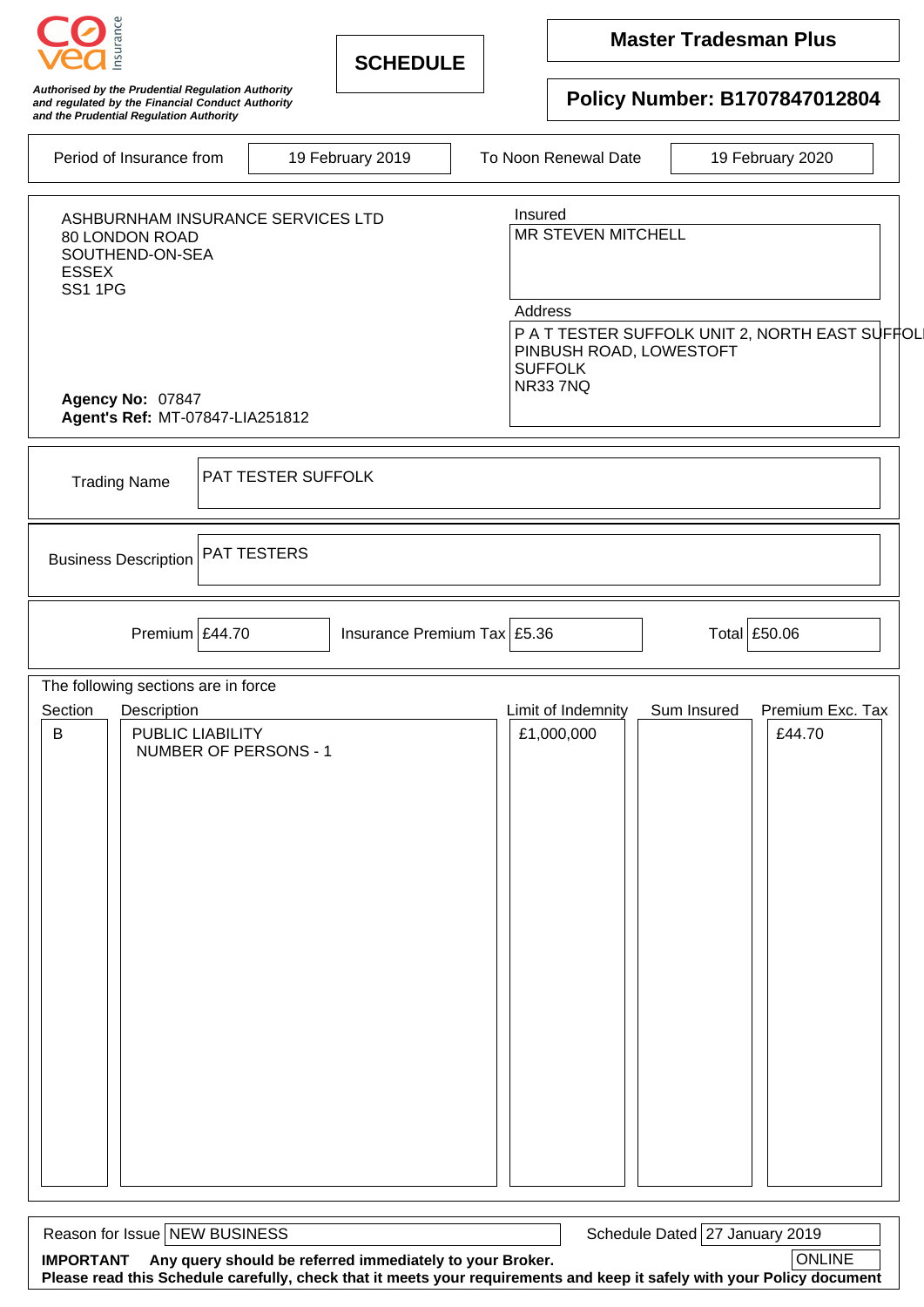| nsuranc                                                                                                                                                         | <b>SCHEDULE</b>                            |  | <b>Master Tradesman Plus</b>                                                                                                                       |                  |                            |  |  |
|-----------------------------------------------------------------------------------------------------------------------------------------------------------------|--------------------------------------------|--|----------------------------------------------------------------------------------------------------------------------------------------------------|------------------|----------------------------|--|--|
| Authorised by the Prudential Regulation Authority<br>and regulated by the Financial Conduct Authority<br>and the Prudential Regulation Authority                |                                            |  | Policy Number: B1707847012804                                                                                                                      |                  |                            |  |  |
| 19 February 2019<br>Period of Insurance from                                                                                                                    |                                            |  | To Noon Renewal Date                                                                                                                               | 19 February 2020 |                            |  |  |
| ASHBURNHAM INSURANCE SERVICES LTD<br>80 LONDON ROAD<br>SOUTHEND-ON-SEA<br><b>ESSEX</b><br><b>SS1 1PG</b><br>Agency No: 07847<br>Agent's Ref: MT-07847-LIA251812 |                                            |  | Insured<br>MR STEVEN MITCHELL<br>Address<br>P A T TESTER SUFFOLK UNIT 2, NORTH EAST SUFFOL<br>PINBUSH ROAD, LOWESTOFT<br><b>SUFFOLK</b><br>NR337NQ |                  |                            |  |  |
|                                                                                                                                                                 |                                            |  |                                                                                                                                                    |                  |                            |  |  |
| <b>PAT TESTER SUFFOLK</b><br><b>Trading Name</b>                                                                                                                |                                            |  |                                                                                                                                                    |                  |                            |  |  |
| <b>PAT TESTERS</b><br><b>Business Description</b>                                                                                                               |                                            |  |                                                                                                                                                    |                  |                            |  |  |
| Premium $\frac{244.70}{5}$                                                                                                                                      | Insurance Premium Tax $\frac{25.36}{5.36}$ |  |                                                                                                                                                    | Total £50.06     |                            |  |  |
| The following sections are in force                                                                                                                             |                                            |  |                                                                                                                                                    |                  |                            |  |  |
| Description<br>Section<br>$\sf B$<br>PUBLIC LIABILITY<br>NUMBER OF PERSONS - 1                                                                                  |                                            |  | Limit of Indemnity<br>£1,000,000                                                                                                                   | Sum Insured      | Premium Exc. Tax<br>£44.70 |  |  |

Reason for Issue NEW BUSINESS **Schedule Dated 27 January 2019 IMPORTANT Any query should be referred immediately to your Broker.** ONLINE **Please read this Schedule carefully, check that it meets your requirements and keep it safely with your Policy document**